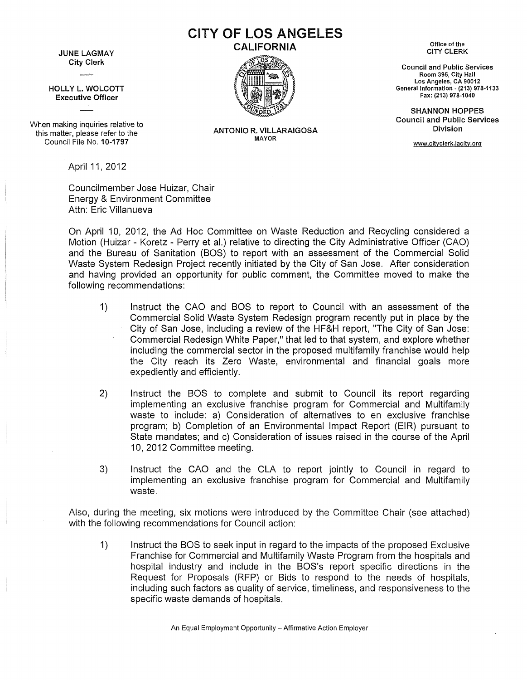JUNE LAGMAY City Clerk

HOLLY L. WOLCOTT Executive Officer

When making inquiries relative to this matter, please refer to the Council File No. 10-1797

April 11, 2012

Councilmember Jose Huizar, Chair Energy & Environment Committee Attn: Eric Villanueva

On April 10, 2012, the Ad Hoc Committee on Waste Reduction and Recycling considered a Motion (Huizar - Koretz - Perry et al.) relative to directing the City Administrative Officer (CAO) and the Bureau of Sanitation (BOS) to report with an assessment of the Commercial Solid Waste System Redesign Project recently initiated by the City of San Jose. After consideration and having provided an opportunity for public comment, the Committee moved to make the following recommendations:

- 1) Instruct the CAO and BOS to report to Council with an assessment of the Commercial Solid Waste System Redesign program recently put in place by the City of San Jose, including a review of the HF&H report, 'The City of San Jose: Commercial Redesign White Paper," that led to that system, and explore whether including the commercial sector in the proposed multifamily franchise would help the City reach its Zero Waste, environmental and financial goals more expediently and efficiently.
- 2) Instruct the BOS to complete and submit to Council its report regarding implementing an exclusive franchise program for Commercial and Multifamily waste to include: a) Consideration of alternatives to en exclusive franchise program; b) Completion of an Environmental Impact Report (EIR) pursuant to State mandates; and c) Consideration of issues raised in the course of the April 10, 2012 Committee meeting.
- 3) Instruct the CAO and the CLA to report jointly to Council in regard to implementing an exclusive franchise program for Commercial and Multifamily waste.

Also, during the meeting, six motions were introduced by the Committee Chair (see attached) with the following recommendations for Council action:

1) Instruct the 80S to seek input in regard to the impacts of the proposed Exclusive Franchise for Commercial and Multifamily Waste Program from the hospitals and hospital industry and include in the 80S's report specific directions in the Request for Proposals (RFP) or Bids to respond to the needs of hospitals, including such factors as quality of service, timeliness, and responsiveness to the specific waste demands of hospitals.

An Equal Employment Opportunity - Affirmative Action Employer

## ANTONIO R. VILLARAIGOSA

MAYOR

Office of the CITY CLERK

Council and Public Services Room 395, City Hall Los Angeles, CA 90012 General Information - (213) 978-1133 Fax: (213) 978-1040

SHANNON HOPPES Council and Public Services Division

www.cityclerk.lacity.org



CITY OF LOS ANGELES